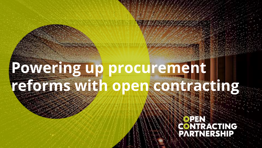# **Powering up procurement reforms with open contracting**

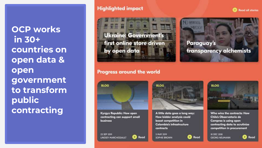**OCP works** in 30+ countries on open data & open government to transform public contracting

### **Highlighted impact**

**Ukraine: Government's** first online store driven by open data

### Progress around the world



Kyrgyz Republic: How open contracting can support small **business** 

23 SEP 2019 **LINDSEY MARCHESSAULT** 

D. Read



Paraguay's

transparency alchemists

A little data goes a long way: How bidder analysis could boost competition in **Colombia's infrastructure** contracts

3 MAY 2019 SOPHIE BROWN





Who wins the contracts: How **Chile's Observatorio de** Compras is using open contracting data to scrutinize competition in procurement

18 DEC 2018 **GEORG NEUMANN** 



**Read all stories**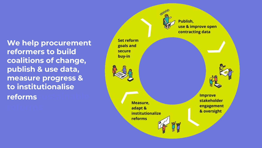**We help procurement reformers to build coalitions of change, publish & use data, measure progress & to institutionalise reformssustainable** 

**Set reform** goals and secure buy-in

Measure,

**institutionalize** 

adapt &

reforms

Publish, use & improve open contracting data



**Improve** stakeholder engagement & oversight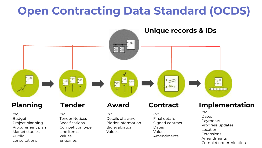# **Open Contracting Data Standard (OCDS)**



*Inc.*  Budget Project planning Procurement plan Market studies Public consultations

*Inc.*  Tender Notices Specifications Competition type Line items Values **Enquiries** 

*Inc.* Details of award Bidder information Bid evaluation Values

*Inc.* Final details Signed contract Dates Values Amendments

### **Planning Tender Award Contract Implementation**

*Inc.* **Dates** Payments Progress updates Location Extensions Amendments Completion/termination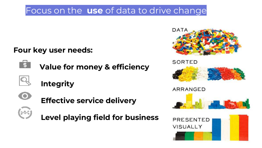# Focus on the **use** of data to drive change

## **Four key user needs:**

- **Value for money & efficiency** 
	- **Integrity**
- - **Effective service delivery**
- 
- **Level playing field for business**







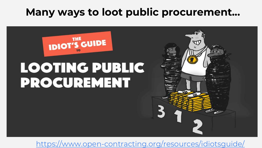# **Many ways to loot public procurement...**



<https://www.open-contracting.org/resources/idiotsguide/>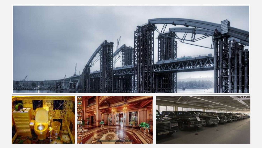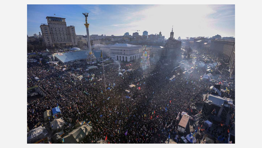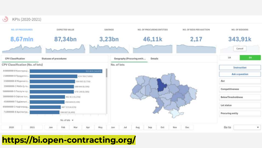### $\sqrt{2}$ KPIs (2020-2021)



# **https://bi.open-contracting.org/**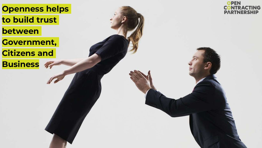**Openness helps to build trust between Government,** 

**Citizens and** 

**Business**

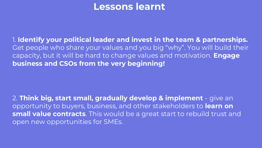1. **Identify your political leader and invest in the team & partnerships.**  Get people who share your values and you big "why". You will build their capacity, but it will be hard to change values and motivation. **Engage business and CSOs from the very beginning!**

2. **Think big, start small, gradually develop & implement** - give an opportunity to buyers, business, and other stakeholders to **learn on small value contracts**. This would be a great start to rebuild trust and open new opportunities for SMEs.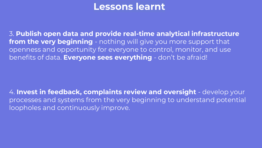3. **Publish open data and provide real-time analytical infrastructure from the very beginning** - nothing will give you more support that openness and opportunity for everyone to control, monitor, and use benefits of data. **Everyone sees everything** - don't be afraid!

4. **Invest in feedback, complaints review and oversight** - develop your processes and systems from the very beginning to understand potential loopholes and continuously improve.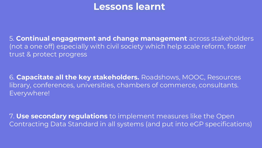5. **Continual engagement and change management** across stakeholders (not a one off) especially with civil society which help scale reform, foster trust & protect progress

6. **Capacitate all the key stakeholders.** Roadshows, MOOC, Resources library, conferences, universities, chambers of commerce, consultants. Everywhere!

7. **Use secondary regulations** to implement measures like the Open Contracting Data Standard in all systems (and put into eGP specifications)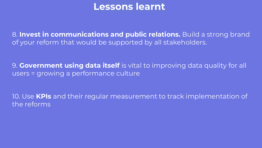8. **Invest in communications and public relations.** Build a strong brand of your reform that would be supported by all stakeholders.

9. **Government using data itself** is vital to improving data quality for all users = growing a performance culture

10. Use **KPIs** and their regular measurement to track implementation of the reforms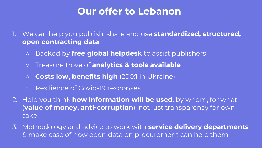# **Our offer to Lebanon**

- 1. We can help you publish, share and use **standardized, structured, open contracting data**
	- Backed by **free global helpdesk** to assist publishers
	- Treasure trove of **analytics & tools available**
	- **Costs low, benefits high** (200:1 in Ukraine)
	- Resilience of Covid-19 responses
- 2. Help you think **how information will be used**, by whom, for what (**value of money, anti-corruption**), not just transparency for own sake
- 3. Methodology and advice to work with **service delivery departments**  & make case of how open data on procurement can help them